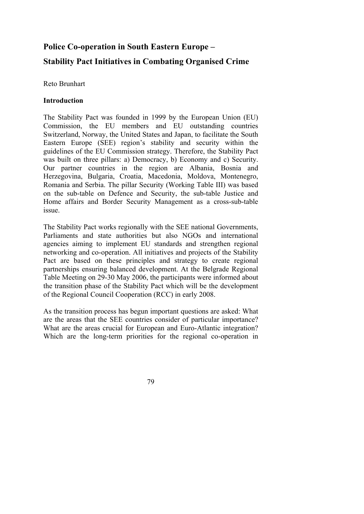# **Police Co-operation in South Eastern Europe –**

# **Stability Pact Initiatives in Combating Organised Crime**

Reto Brunhart

### **Introduction**

The Stability Pact was founded in 1999 by the European Union (EU) Commission, the EU members and EU outstanding countries Switzerland, Norway, the United States and Japan, to facilitate the South Eastern Europe (SEE) region's stability and security within the guidelines of the EU Commission strategy. Therefore, the Stability Pact was built on three pillars: a) Democracy, b) Economy and c) Security. Our partner countries in the region are Albania, Bosnia and Herzegovina, Bulgaria, Croatia, Macedonia, Moldova, Montenegro, Romania and Serbia. The pillar Security (Working Table III) was based on the sub-table on Defence and Security, the sub-table Justice and Home affairs and Border Security Management as a cross-sub-table issue.

The Stability Pact works regionally with the SEE national Governments, Parliaments and state authorities but also NGOs and international agencies aiming to implement EU standards and strengthen regional networking and co-operation. All initiatives and projects of the Stability Pact are based on these principles and strategy to create regional partnerships ensuring balanced development. At the Belgrade Regional Table Meeting on 29-30 May 2006, the participants were informed about the transition phase of the Stability Pact which will be the development of the Regional Council Cooperation (RCC) in early 2008.

As the transition process has begun important questions are asked: What are the areas that the SEE countries consider of particular importance? What are the areas crucial for European and Euro-Atlantic integration? Which are the long-term priorities for the regional co-operation in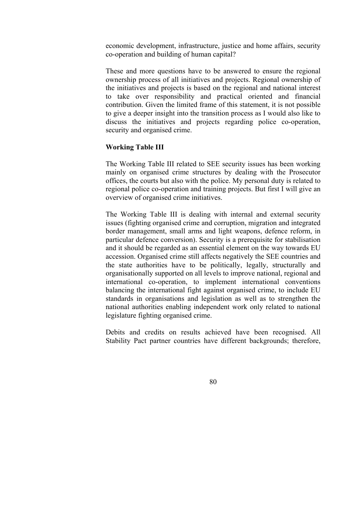economic development, infrastructure, justice and home affairs, security co-operation and building of human capital?

These and more questions have to be answered to ensure the regional ownership process of all initiatives and projects. Regional ownership of the initiatives and projects is based on the regional and national interest to take over responsibility and practical oriented and financial contribution. Given the limited frame of this statement, it is not possible to give a deeper insight into the transition process as I would also like to discuss the initiatives and projects regarding police co-operation, security and organised crime.

#### **Working Table III**

The Working Table III related to SEE security issues has been working mainly on organised crime structures by dealing with the Prosecutor offices, the courts but also with the police. My personal duty is related to regional police co-operation and training projects. But first I will give an overview of organised crime initiatives.

The Working Table III is dealing with internal and external security issues (fighting organised crime and corruption, migration and integrated border management, small arms and light weapons, defence reform, in particular defence conversion). Security is a prerequisite for stabilisation and it should be regarded as an essential element on the way towards EU accession. Organised crime still affects negatively the SEE countries and the state authorities have to be politically, legally, structurally and organisationally supported on all levels to improve national, regional and international co-operation, to implement international conventions balancing the international fight against organised crime, to include EU standards in organisations and legislation as well as to strengthen the national authorities enabling independent work only related to national legislature fighting organised crime.

Debits and credits on results achieved have been recognised. All Stability Pact partner countries have different backgrounds; therefore,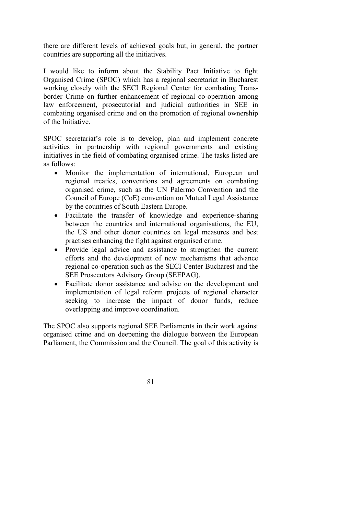there are different levels of achieved goals but, in general, the partner countries are supporting all the initiatives.

I would like to inform about the Stability Pact Initiative to fight Organised Crime (SPOC) which has a regional secretariat in Bucharest working closely with the SECI Regional Center for combating Transborder Crime on further enhancement of regional co-operation among law enforcement, prosecutorial and judicial authorities in SEE in combating organised crime and on the promotion of regional ownership of the Initiative.

SPOC secretariat's role is to develop, plan and implement concrete activities in partnership with regional governments and existing initiatives in the field of combating organised crime. The tasks listed are as follows:

- Monitor the implementation of international, European and regional treaties, conventions and agreements on combating organised crime, such as the UN Palermo Convention and the Council of Europe (CoE) convention on Mutual Legal Assistance by the countries of South Eastern Europe.
- Facilitate the transfer of knowledge and experience-sharing between the countries and international organisations, the EU, the US and other donor countries on legal measures and best practises enhancing the fight against organised crime.
- Provide legal advice and assistance to strengthen the current efforts and the development of new mechanisms that advance regional co-operation such as the SECI Center Bucharest and the SEE Prosecutors Advisory Group (SEEPAG).
- Facilitate donor assistance and advise on the development and implementation of legal reform projects of regional character seeking to increase the impact of donor funds, reduce overlapping and improve coordination.

The SPOC also supports regional SEE Parliaments in their work against organised crime and on deepening the dialogue between the European Parliament, the Commission and the Council. The goal of this activity is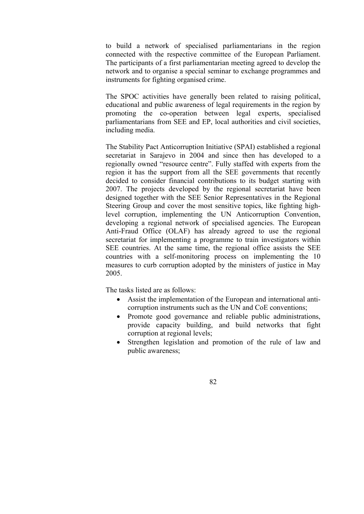to build a network of specialised parliamentarians in the region connected with the respective committee of the European Parliament. The participants of a first parliamentarian meeting agreed to develop the network and to organise a special seminar to exchange programmes and instruments for fighting organised crime.

The SPOC activities have generally been related to raising political, educational and public awareness of legal requirements in the region by promoting the co-operation between legal experts, specialised parliamentarians from SEE and EP, local authorities and civil societies, including media.

The Stability Pact Anticorruption Initiative (SPAI) established a regional secretariat in Sarajevo in 2004 and since then has developed to a regionally owned "resource centre". Fully staffed with experts from the region it has the support from all the SEE governments that recently decided to consider financial contributions to its budget starting with 2007. The projects developed by the regional secretariat have been designed together with the SEE Senior Representatives in the Regional Steering Group and cover the most sensitive topics, like fighting highlevel corruption, implementing the UN Anticorruption Convention, developing a regional network of specialised agencies. The European Anti-Fraud Office (OLAF) has already agreed to use the regional secretariat for implementing a programme to train investigators within SEE countries. At the same time, the regional office assists the SEE countries with a self-monitoring process on implementing the 10 measures to curb corruption adopted by the ministers of justice in May 2005.

The tasks listed are as follows:

- Assist the implementation of the European and international anticorruption instruments such as the UN and CoE conventions;
- Promote good governance and reliable public administrations, provide capacity building, and build networks that fight corruption at regional levels;
- Strengthen legislation and promotion of the rule of law and public awareness;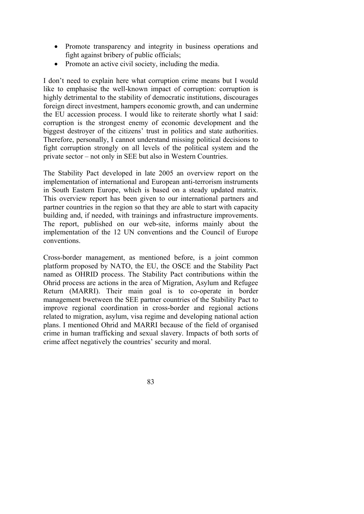- Promote transparency and integrity in business operations and fight against bribery of public officials;
- Promote an active civil society, including the media.

I don't need to explain here what corruption crime means but I would like to emphasise the well-known impact of corruption: corruption is highly detrimental to the stability of democratic institutions, discourages foreign direct investment, hampers economic growth, and can undermine the EU accession process. I would like to reiterate shortly what I said: corruption is the strongest enemy of economic development and the biggest destroyer of the citizens' trust in politics and state authorities. Therefore, personally, I cannot understand missing political decisions to fight corruption strongly on all levels of the political system and the private sector – not only in SEE but also in Western Countries.

The Stability Pact developed in late 2005 an overview report on the implementation of international and European anti-terrorism instruments in South Eastern Europe, which is based on a steady updated matrix. This overview report has been given to our international partners and partner countries in the region so that they are able to start with capacity building and, if needed, with trainings and infrastructure improvements. The report, published on our web-site, informs mainly about the implementation of the 12 UN conventions and the Council of Europe conventions.

Cross-border management, as mentioned before, is a joint common platform proposed by NATO, the EU, the OSCE and the Stability Pact named as OHRID process. The Stability Pact contributions within the Ohrid process are actions in the area of Migration, Asylum and Refugee Return (MARRI). Their main goal is to co-operate in border management bwetween the SEE partner countries of the Stability Pact to improve regional coordination in cross-border and regional actions related to migration, asylum, visa regime and developing national action plans. I mentioned Ohrid and MARRI because of the field of organised crime in human trafficking and sexual slavery. Impacts of both sorts of crime affect negatively the countries' security and moral.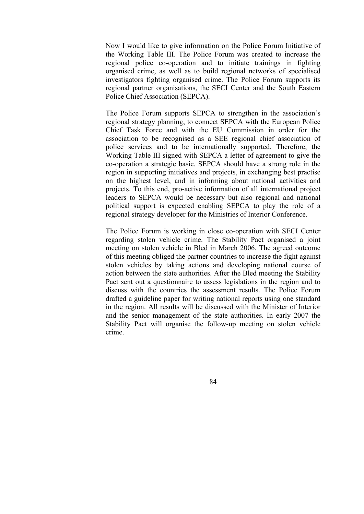Now I would like to give information on the Police Forum Initiative of the Working Table III. The Police Forum was created to increase the regional police co-operation and to initiate trainings in fighting organised crime, as well as to build regional networks of specialised investigators fighting organised crime. The Police Forum supports its regional partner organisations, the SECI Center and the South Eastern Police Chief Association (SEPCA).

The Police Forum supports SEPCA to strengthen in the association's regional strategy planning, to connect SEPCA with the European Police Chief Task Force and with the EU Commission in order for the association to be recognised as a SEE regional chief association of police services and to be internationally supported. Therefore, the Working Table III signed with SEPCA a letter of agreement to give the co-operation a strategic basic. SEPCA should have a strong role in the region in supporting initiatives and projects, in exchanging best practise on the highest level, and in informing about national activities and projects. To this end, pro-active information of all international project leaders to SEPCA would be necessary but also regional and national political support is expected enabling SEPCA to play the role of a regional strategy developer for the Ministries of Interior Conference.

The Police Forum is working in close co-operation with SECI Center regarding stolen vehicle crime. The Stability Pact organised a joint meeting on stolen vehicle in Bled in March 2006. The agreed outcome of this meeting obliged the partner countries to increase the fight against stolen vehicles by taking actions and developing national course of action between the state authorities. After the Bled meeting the Stability Pact sent out a questionnaire to assess legislations in the region and to discuss with the countries the assessment results. The Police Forum drafted a guideline paper for writing national reports using one standard in the region. All results will be discussed with the Minister of Interior and the senior management of the state authorities. In early 2007 the Stability Pact will organise the follow-up meeting on stolen vehicle crime.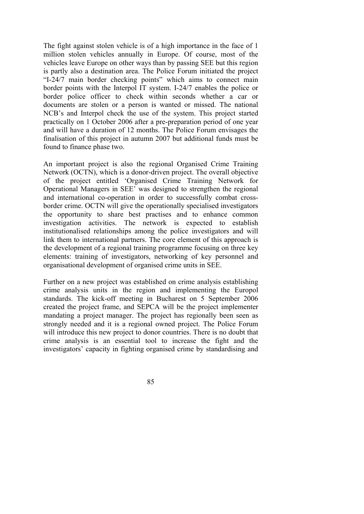The fight against stolen vehicle is of a high importance in the face of 1 million stolen vehicles annually in Europe. Of course, most of the vehicles leave Europe on other ways than by passing SEE but this region is partly also a destination area. The Police Forum initiated the project "I-24/7 main border checking points" which aims to connect main border points with the Interpol IT system. I-24/7 enables the police or border police officer to check within seconds whether a car or documents are stolen or a person is wanted or missed. The national NCB's and Interpol check the use of the system. This project started practically on 1 October 2006 after a pre-preparation period of one year and will have a duration of 12 months. The Police Forum envisages the finalisation of this project in autumn 2007 but additional funds must be found to finance phase two.

An important project is also the regional Organised Crime Training Network (OCTN), which is a donor-driven project. The overall objective of the project entitled 'Organised Crime Training Network for Operational Managers in SEE' was designed to strengthen the regional and international co-operation in order to successfully combat crossborder crime. OCTN will give the operationally specialised investigators the opportunity to share best practises and to enhance common investigation activities. The network is expected to establish institutionalised relationships among the police investigators and will link them to international partners. The core element of this approach is the development of a regional training programme focusing on three key elements: training of investigators, networking of key personnel and organisational development of organised crime units in SEE.

Further on a new project was established on crime analysis establishing crime analysis units in the region and implementing the Europol standards. The kick-off meeting in Bucharest on 5 September 2006 created the project frame, and SEPCA will be the project implementer mandating a project manager. The project has regionally been seen as strongly needed and it is a regional owned project. The Police Forum will introduce this new project to donor countries. There is no doubt that crime analysis is an essential tool to increase the fight and the investigators' capacity in fighting organised crime by standardising and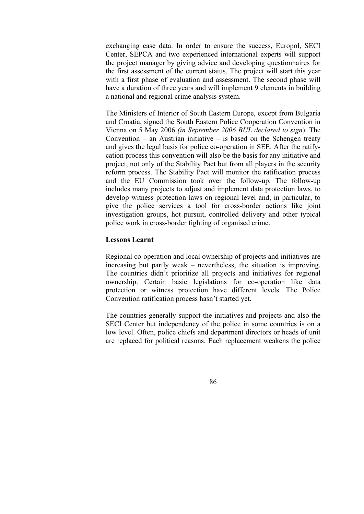exchanging case data. In order to ensure the success, Europol, SECI Center, SEPCA and two experienced international experts will support the project manager by giving advice and developing questionnaires for the first assessment of the current status. The project will start this year with a first phase of evaluation and assessment. The second phase will have a duration of three years and will implement 9 elements in building a national and regional crime analysis system.

The Ministers of Interior of South Eastern Europe, except from Bulgaria and Croatia, signed the South Eastern Police Cooperation Convention in Vienna on 5 May 2006 *(in September 2006 BUL declared to sign*). The Convention – an Austrian initiative – is based on the Schengen treaty and gives the legal basis for police co-operation in SEE. After the ratifycation process this convention will also be the basis for any initiative and project, not only of the Stability Pact but from all players in the security reform process. The Stability Pact will monitor the ratification process and the EU Commission took over the follow-up. The follow-up includes many projects to adjust and implement data protection laws, to develop witness protection laws on regional level and, in particular, to give the police services a tool for cross-border actions like joint investigation groups, hot pursuit, controlled delivery and other typical police work in cross-border fighting of organised crime.

### **Lessons Learnt**

Regional co-operation and local ownership of projects and initiatives are increasing but partly weak – nevertheless, the situation is improving. The countries didn't prioritize all projects and initiatives for regional ownership. Certain basic legislations for co-operation like data protection or witness protection have different levels. The Police Convention ratification process hasn't started yet.

The countries generally support the initiatives and projects and also the SECI Center but independency of the police in some countries is on a low level. Often, police chiefs and department directors or heads of unit are replaced for political reasons. Each replacement weakens the police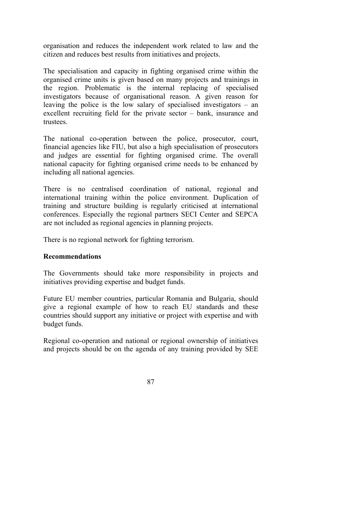organisation and reduces the independent work related to law and the citizen and reduces best results from initiatives and projects.

The specialisation and capacity in fighting organised crime within the organised crime units is given based on many projects and trainings in the region. Problematic is the internal replacing of specialised investigators because of organisational reason. A given reason for leaving the police is the low salary of specialised investigators – an excellent recruiting field for the private sector – bank, insurance and trustees.

The national co-operation between the police, prosecutor, court, financial agencies like FIU, but also a high specialisation of prosecutors and judges are essential for fighting organised crime. The overall national capacity for fighting organised crime needs to be enhanced by including all national agencies.

There is no centralised coordination of national, regional and international training within the police environment. Duplication of training and structure building is regularly criticised at international conferences. Especially the regional partners SECI Center and SEPCA are not included as regional agencies in planning projects.

There is no regional network for fighting terrorism.

## **Recommendations**

The Governments should take more responsibility in projects and initiatives providing expertise and budget funds.

Future EU member countries, particular Romania and Bulgaria, should give a regional example of how to reach EU standards and these countries should support any initiative or project with expertise and with budget funds.

Regional co-operation and national or regional ownership of initiatives and projects should be on the agenda of any training provided by SEE